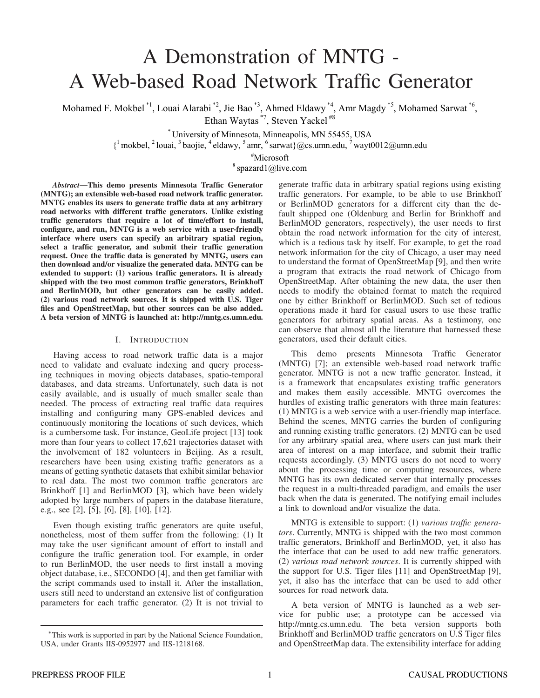# A Demonstration of MNTG - A Web-based Road Network Traffic Generator

Mohamed F. Mokbel<sup>\*1</sup>, Louai Alarabi<sup>\*2</sup>, Jie Bao<sup>\*3</sup>, Ahmed Eldawy<sup>\*4</sup>, Amr Magdy<sup>\*5</sup>, Mohamed Sarwat<sup>\*6</sup>, Ethan Waytas \*7, Steven Yackel #8

> \* University of Minnesota, Minneapolis, MN 55455, USA  $\{$ <sup>1</sup> mokbel, <sup>2</sup> louai, <sup>3</sup> baojie, <sup>4</sup> eldawy, <sup>5</sup> amr, <sup>6</sup> sarwat}@cs.umn.edu, <sup>7</sup> wayt0012@umn.edu

> > <sup>#</sup>Microsoft

 $8$  spazard1@live.com

*Abstract*—This demo presents Minnesota Traffic Generator (MNTG); an extensible web-based road network traffic generator. MNTG enables its users to generate traffic data at any arbitrary road networks with different traffic generators. Unlike existing traffic generators that require a lot of time/effort to install, configure, and run, MNTG is a web service with a user-friendly interface where users can specify an arbitrary spatial region, select a traffic generator, and submit their traffic generation request. Once the traffic data is generated by MNTG, users can then download and/or visualize the generated data. MNTG can be extended to support: (1) various traffic generators. It is already shipped with the two most common traffic generators, Brinkhoff and BerlinMOD, but other generators can be easily added. (2) various road network sources. It is shipped with U.S. Tiger files and OpenStreetMap, but other sources can be also added. A beta version of MNTG is launched at: http://mntg.cs.umn.edu.

## I. INTRODUCTION

Having access to road network traffic data is a major need to validate and evaluate indexing and query processing techniques in moving objects databases, spatio-temporal databases, and data streams. Unfortunately, such data is not easily available, and is usually of much smaller scale than needed. The process of extracting real traffic data requires installing and configuring many GPS-enabled devices and continuously monitoring the locations of such devices, which is a cumbersome task. For instance, GeoLife project [13] took more than four years to collect 17,621 trajectories dataset with the involvement of 182 volunteers in Beijing. As a result, researchers have been using existing traffic generators as a means of getting synthetic datasets that exhibit similar behavior to real data. The most two common traffic generators are Brinkhoff [1] and BerlinMOD [3], which have been widely adopted by large numbers of papers in the database literature, e.g., see [2], [5], [6], [8], [10], [12].

Even though existing traffic generators are quite useful, nonetheless, most of them suffer from the following: (1) It may take the user significant amount of effort to install and configure the traffic generation tool. For example, in order to run BerlinMOD, the user needs to first install a moving object database, i.e., SECONDO [4], and then get familiar with the script commands used to install it. After the installation, users still need to understand an extensive list of configuration parameters for each traffic generator. (2) It is not trivial to

generate traffic data in arbitrary spatial regions using existing traffic generators. For example, to be able to use Brinkhoff or BerlinMOD generators for a different city than the default shipped one (Oldenburg and Berlin for Brinkhoff and BerlinMOD generators, respectively), the user needs to first obtain the road network information for the city of interest, which is a tedious task by itself. For example, to get the road network information for the city of Chicago, a user may need to understand the format of OpenStreetMap [9], and then write a program that extracts the road network of Chicago from OpenStreetMap. After obtaining the new data, the user then needs to modify the obtained format to match the required one by either Brinkhoff or BerlinMOD. Such set of tedious operations made it hard for casual users to use these traffic generators for arbitrary spatial areas. As a testimony, one can observe that almost all the literature that harnessed these generators, used their default cities.

This demo presents Minnesota Traffic Generator (MNTG) [7]; an extensible web-based road network traffic generator. MNTG is not a new traffic generator. Instead, it is a framework that encapsulates existing traffic generators and makes them easily accessible. MNTG overcomes the hurdles of existing traffic generators with three main features: (1) MNTG is a web service with a user-friendly map interface. Behind the scenes, MNTG carries the burden of configuring and running existing traffic generators. (2) MNTG can be used for any arbitrary spatial area, where users can just mark their area of interest on a map interface, and submit their traffic requests accordingly. (3) MNTG users do not need to worry about the processing time or computing resources, where MNTG has its own dedicated server that internally processes the request in a multi-threaded paradigm, and emails the user back when the data is generated. The notifying email includes a link to download and/or visualize the data.

MNTG is extensible to support: (1) *various traffic generators*. Currently, MNTG is shipped with the two most common traffic generators, Brinkhoff and BerlinMOD, yet, it also has the interface that can be used to add new traffic generators. (2) *various road network sources*. It is currently shipped with the support for U.S. Tiger files [11] and OpenStreetMap [9], yet, it also has the interface that can be used to add other sources for road network data.

A beta version of MNTG is launched as a web service for public use; a prototype can be accessed via http://mntg.cs.umn.edu. The beta version supports both Brinkhoff and BerlinMOD traffic generators on U.S Tiger files and OpenStreetMap data. The extensibility interface for adding

<sup>∗</sup>This work is supported in part by the National Science Foundation, USA, under Grants IIS-0952977 and IIS-1218168.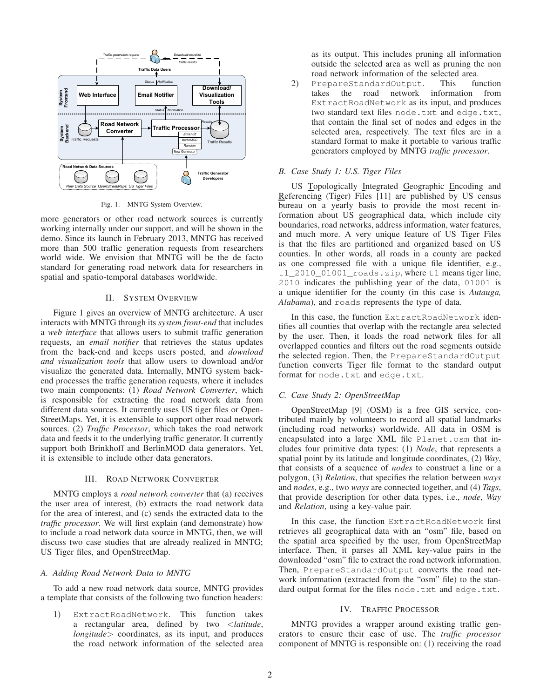

Fig. 1. MNTG System Overview.

more generators or other road network sources is currently working internally under our support, and will be shown in the demo. Since its launch in February 2013, MNTG has received more than 500 traffic generation requests from researchers world wide. We envision that MNTG will be the de facto standard for generating road network data for researchers in spatial and spatio-temporal databases worldwide.

## II. SYSTEM OVERVIEW

Figure 1 gives an overview of MNTG architecture. A user interacts with MNTG through its *system front-end* that includes a *web interface* that allows users to submit traffic generation requests, an *email notifier* that retrieves the status updates from the back-end and keeps users posted, and *download and visualization tools* that allow users to download and/or visualize the generated data. Internally, MNTG system backend processes the traffic generation requests, where it includes two main components: (1) *Road Network Converter*, which is responsible for extracting the road network data from different data sources. It currently uses US tiger files or Open-StreetMaps. Yet, it is extensible to support other road network sources. (2) *Traffic Processor*, which takes the road network data and feeds it to the underlying traffic generator. It currently support both Brinkhoff and BerlinMOD data generators. Yet, it is extensible to include other data generators.

## III. ROAD NETWORK CONVERTER

MNTG employs a *road network converter* that (a) receives the user area of interest, (b) extracts the road network data for the area of interest, and (c) sends the extracted data to the *traffic processor*. We will first explain (and demonstrate) how to include a road network data source in MNTG, then, we will discuss two case studies that are already realized in MNTG; US Tiger files, and OpenStreetMap.

## *A. Adding Road Network Data to MNTG*

To add a new road network data source, MNTG provides a template that consists of the following two function headers:

1) ExtractRoadNetwork. This function takes a rectangular area, defined by two <*latitude*, *longitude*> coordinates, as its input, and produces the road network information of the selected area

as its output. This includes pruning all information outside the selected area as well as pruning the non road network information of the selected area.

2) PrepareStandardOutput. This function takes the road network information from ExtractRoadNetwork as its input, and produces two standard text files node.txt and edge.txt, that contain the final set of nodes and edges in the selected area, respectively. The text files are in a standard format to make it portable to various traffic generators employed by MNTG *traffic processor*.

#### *B. Case Study 1: U.S. Tiger Files*

US Topologically Integrated Geographic Encoding and Referencing (Tiger) Files [11] are published by US census bureau on a yearly basis to provide the most recent information about US geographical data, which include city boundaries, road networks, address information, water features, and much more. A very unique feature of US Tiger Files is that the files are partitioned and organized based on US counties. In other words, all roads in a county are packed as one compressed file with a unique file identifier, e.g., tl\_2010\_01001\_roads.zip, where tl means tiger line, 2010 indicates the publishing year of the data, 01001 is a unique identifier for the county (in this case is *Autauga, Alabama*), and roads represents the type of data.

In this case, the function ExtractRoadNetwork identifies all counties that overlap with the rectangle area selected by the user. Then, it loads the road network files for all overlapped counties and filters out the road segments outside the selected region. Then, the PrepareStandardOutput function converts Tiger file format to the standard output format for node.txt and edge.txt.

#### *C. Case Study 2: OpenStreetMap*

OpenStreetMap [9] (OSM) is a free GIS service, contributed mainly by volunteers to record all spatial landmarks (including road networks) worldwide. All data in OSM is encapsulated into a large XML file Planet.osm that includes four primitive data types: (1) *Node*, that represents a spatial point by its latitude and longitude coordinates, (2) *Way*, that consists of a sequence of *nodes* to construct a line or a polygon, (3) *Relation*, that specifies the relation between *ways* and *nodes*, e.g., two *ways* are connected together, and (4) *Tags*, that provide description for other data types, i.e., *node*, *Way* and *Relation*, using a key-value pair.

In this case, the function ExtractRoadNetwork first retrieves all geographical data with an "osm" file, based on the spatial area specified by the user, from OpenStreetMap interface. Then, it parses all XML key-value pairs in the downloaded "osm" file to extract the road network information. Then, PrepareStandardOutput converts the road network information (extracted from the "osm" file) to the standard output format for the files node.txt and edge.txt.

## IV. TRAFFIC PROCESSOR

MNTG provides a wrapper around existing traffic generators to ensure their ease of use. The *traffic processor* component of MNTG is responsible on: (1) receiving the road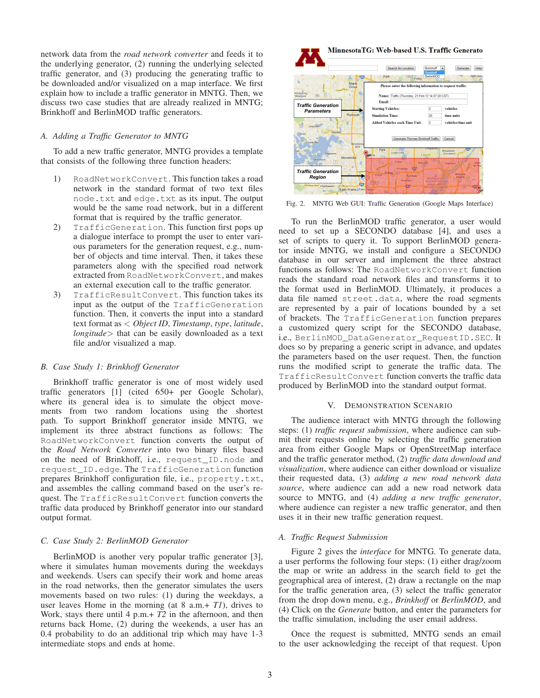network data from the *road network converter* and feeds it to the underlying generator, (2) running the underlying selected traffic generator, and (3) producing the generating traffic to be downloaded and/or visualized on a map interface. We first explain how to include a traffic generator in MNTG. Then, we discuss two case studies that are already realized in MNTG; Brinkhoff and BerlinMOD traffic generators.

## *A. Adding a Traffic Generator to MNTG*

To add a new traffic generator, MNTG provides a template that consists of the following three function headers:

- 1) RoadNetworkConvert. This function takes a road network in the standard format of two text files node.txt and edge.txt as its input. The output would be the same road network, but in a different format that is required by the traffic generator.
- 2) TrafficGeneration. This function first pops up a dialogue interface to prompt the user to enter various parameters for the generation request, e.g., number of objects and time interval. Then, it takes these parameters along with the specified road network extracted from RoadNetworkConvert, and makes an external execution call to the traffic generator.
- 3) TrafficResultConvert. This function takes its input as the output of the TrafficGeneration function. Then, it converts the input into a standard text format as < *Object ID*, *Timestamp*, *type*, *latitude*, *longitude*> that can be easily downloaded as a text file and/or visualized a map.

#### *B. Case Study 1: Brinkhoff Generator*

Brinkhoff traffic generator is one of most widely used traffic generators [1] (cited 650+ per Google Scholar), where its general idea is to simulate the object movements from two random locations using the shortest path. To support Brinkhoff generator inside MNTG, we implement its three abstract functions as follows: The RoadNetworkConvert function converts the output of the *Road Network Converter* into two binary files based on the need of Brinkhoff, i.e., request\_ID.node and request\_ID.edge. The TrafficGeneration function prepares Brinkhoff configuration file, i.e., property.txt, and assembles the calling command based on the user's request. The TrafficResultConvert function converts the traffic data produced by Brinkhoff generator into our standard output format.

#### *C. Case Study 2: BerlinMOD Generator*

BerlinMOD is another very popular traffic generator [3], where it simulates human movements during the weekdays and weekends. Users can specify their work and home areas in the road networks, then the generator simulates the users movements based on two rules: (1) during the weekdays, a user leaves Home in the morning (at 8 a.m.+ *T1*), drives to Work, stays there until 4 p.m.+ *T2* in the afternoon, and then returns back Home, (2) during the weekends, a user has an 0.4 probability to do an additional trip which may have 1-3 intermediate stops and ends at home.



Fig. 2. MNTG Web GUI: Traffic Generation (Google Maps Interface)

To run the BerlinMOD traffic generator, a user would need to set up a SECONDO database [4], and uses a set of scripts to query it. To support BerlinMOD generator inside MNTG, we install and configure a SECONDO database in our server and implement the three abstract functions as follows: The RoadNetworkConvert function reads the standard road network files and transforms it to the format used in BerlinMOD. Ultimately, it produces a data file named street.data, where the road segments are represented by a pair of locations bounded by a set of brackets. The TrafficGeneration function prepares a customized query script for the SECONDO database, i.e., BerlinMOD\_DataGenerator\_RequestID.SEC. It does so by preparing a generic script in advance, and updates the parameters based on the user request. Then, the function runs the modified script to generate the traffic data. The TrafficResultConvert function converts the traffic data produced by BerlinMOD into the standard output format.

#### V. DEMONSTRATION SCENARIO

The audience interact with MNTG through the following steps: (1) *traffic request submission*, where audience can submit their requests online by selecting the traffic generation area from either Google Maps or OpenStreetMap interface and the traffic generator method, (2) *traffic data download and visualization*, where audience can either download or visualize their requested data, (3) *adding a new road network data source*, where audience can add a new road network data source to MNTG, and (4) *adding a new traffic generator*, where audience can register a new traffic generator, and then uses it in their new traffic generation request.

## *A. Traffic Request Submission*

Figure 2 gives the *interface* for MNTG. To generate data, a user performs the following four steps: (1) either drag/zoom the map or write an address in the search field to get the geographical area of interest, (2) draw a rectangle on the map for the traffic generation area, (3) select the traffic generator from the drop down menu, e.g., *Brinkhoff* or *BerlinMOD*, and (4) Click on the *Generate* button, and enter the parameters for the traffic simulation, including the user email address.

Once the request is submitted, MNTG sends an email to the user acknowledging the receipt of that request. Upon